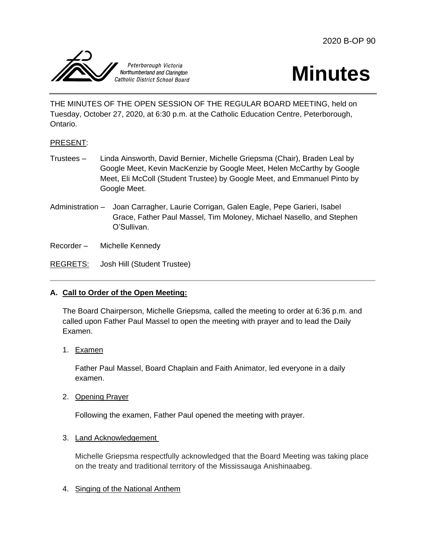



THE MINUTES OF THE OPEN SESSION OF THE REGULAR BOARD MEETING, held on Tuesday, October 27, 2020, at 6:30 p.m. at the Catholic Education Centre, Peterborough, Ontario.

# PRESENT:

- Trustees Linda Ainsworth, David Bernier, Michelle Griepsma (Chair), Braden Leal by Google Meet, Kevin MacKenzie by Google Meet, Helen McCarthy by Google Meet, Eli McColl (Student Trustee) by Google Meet, and Emmanuel Pinto by Google Meet.
- Administration Joan Carragher, Laurie Corrigan, Galen Eagle, Pepe Garieri, Isabel Grace, Father Paul Massel, Tim Moloney, Michael Nasello, and Stephen O'Sullivan.

Recorder – Michelle Kennedy

REGRETS: Josh Hill (Student Trustee)

### **A. Call to Order of the Open Meeting:**

The Board Chairperson, Michelle Griepsma, called the meeting to order at 6:36 p.m. and called upon Father Paul Massel to open the meeting with prayer and to lead the Daily Examen.

1. Examen

Father Paul Massel, Board Chaplain and Faith Animator, led everyone in a daily examen.

2. Opening Prayer

Following the examen, Father Paul opened the meeting with prayer.

3. Land Acknowledgement

Michelle Griepsma respectfully acknowledged that the Board Meeting was taking place on the treaty and traditional territory of the Mississauga Anishinaabeg.

4. Singing of the National Anthem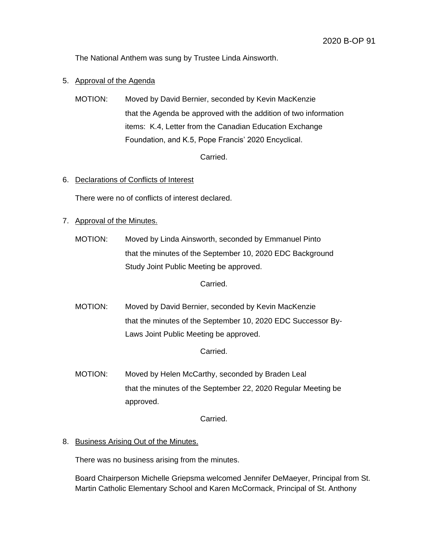The National Anthem was sung by Trustee Linda Ainsworth.

- 5. Approval of the Agenda
	- MOTION: Moved by David Bernier, seconded by Kevin MacKenzie that the Agenda be approved with the addition of two information items: K.4, Letter from the Canadian Education Exchange Foundation, and K.5, Pope Francis' 2020 Encyclical.

Carried.

### 6. Declarations of Conflicts of Interest

There were no of conflicts of interest declared.

- 7. Approval of the Minutes.
	- MOTION: Moved by Linda Ainsworth, seconded by Emmanuel Pinto that the minutes of the September 10, 2020 EDC Background Study Joint Public Meeting be approved.

Carried.

MOTION: Moved by David Bernier, seconded by Kevin MacKenzie that the minutes of the September 10, 2020 EDC Successor By-Laws Joint Public Meeting be approved.

Carried.

MOTION: Moved by Helen McCarthy, seconded by Braden Leal that the minutes of the September 22, 2020 Regular Meeting be approved.

Carried.

### 8. Business Arising Out of the Minutes.

There was no business arising from the minutes.

Board Chairperson Michelle Griepsma welcomed Jennifer DeMaeyer, Principal from St. Martin Catholic Elementary School and Karen McCormack, Principal of St. Anthony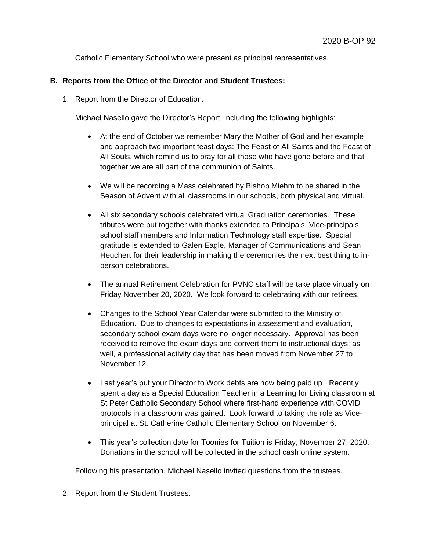Catholic Elementary School who were present as principal representatives.

# **B. Reports from the Office of the Director and Student Trustees:**

### 1. Report from the Director of Education.

Michael Nasello gave the Director's Report, including the following highlights:

- At the end of October we remember Mary the Mother of God and her example and approach two important feast days: The Feast of All Saints and the Feast of All Souls, which remind us to pray for all those who have gone before and that together we are all part of the communion of Saints.
- We will be recording a Mass celebrated by Bishop Miehm to be shared in the Season of Advent with all classrooms in our schools, both physical and virtual.
- All six secondary schools celebrated virtual Graduation ceremonies. These tributes were put together with thanks extended to Principals, Vice-principals, school staff members and Information Technology staff expertise. Special gratitude is extended to Galen Eagle, Manager of Communications and Sean Heuchert for their leadership in making the ceremonies the next best thing to inperson celebrations.
- The annual Retirement Celebration for PVNC staff will be take place virtually on Friday November 20, 2020. We look forward to celebrating with our retirees.
- Changes to the School Year Calendar were submitted to the Ministry of Education. Due to changes to expectations in assessment and evaluation, secondary school exam days were no longer necessary. Approval has been received to remove the exam days and convert them to instructional days; as well, a professional activity day that has been moved from November 27 to November 12.
- Last year's put your Director to Work debts are now being paid up. Recently spent a day as a Special Education Teacher in a Learning for Living classroom at St Peter Catholic Secondary School where first-hand experience with COVID protocols in a classroom was gained. Look forward to taking the role as Viceprincipal at St. Catherine Catholic Elementary School on November 6.
- This year's collection date for Toonies for Tuition is Friday, November 27, 2020. Donations in the school will be collected in the school cash online system.

Following his presentation, Michael Nasello invited questions from the trustees.

2. Report from the Student Trustees.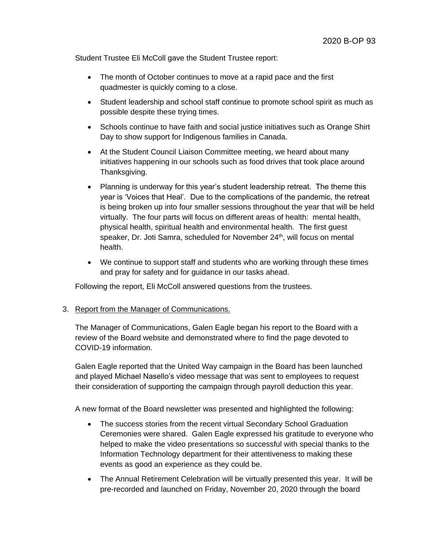Student Trustee Eli McColl gave the Student Trustee report:

- The month of October continues to move at a rapid pace and the first quadmester is quickly coming to a close.
- Student leadership and school staff continue to promote school spirit as much as possible despite these trying times.
- Schools continue to have faith and social justice initiatives such as Orange Shirt Day to show support for Indigenous families in Canada.
- At the Student Council Liaison Committee meeting, we heard about many initiatives happening in our schools such as food drives that took place around Thanksgiving.
- Planning is underway for this year's student leadership retreat. The theme this year is 'Voices that Heal'. Due to the complications of the pandemic, the retreat is being broken up into four smaller sessions throughout the year that will be held virtually. The four parts will focus on different areas of health: mental health, physical health, spiritual health and environmental health. The first guest speaker, Dr. Joti Samra, scheduled for November 24<sup>th</sup>, will focus on mental health.
- We continue to support staff and students who are working through these times and pray for safety and for guidance in our tasks ahead.

Following the report, Eli McColl answered questions from the trustees.

### 3. Report from the Manager of Communications.

The Manager of Communications, Galen Eagle began his report to the Board with a review of the Board website and demonstrated where to find the page devoted to COVID-19 information.

Galen Eagle reported that the United Way campaign in the Board has been launched and played Michael Nasello's video message that was sent to employees to request their consideration of supporting the campaign through payroll deduction this year.

A new format of the Board newsletter was presented and highlighted the following:

- The success stories from the recent virtual Secondary School Graduation Ceremonies were shared. Galen Eagle expressed his gratitude to everyone who helped to make the video presentations so successful with special thanks to the Information Technology department for their attentiveness to making these events as good an experience as they could be.
- The Annual Retirement Celebration will be virtually presented this year. It will be pre-recorded and launched on Friday, November 20, 2020 through the board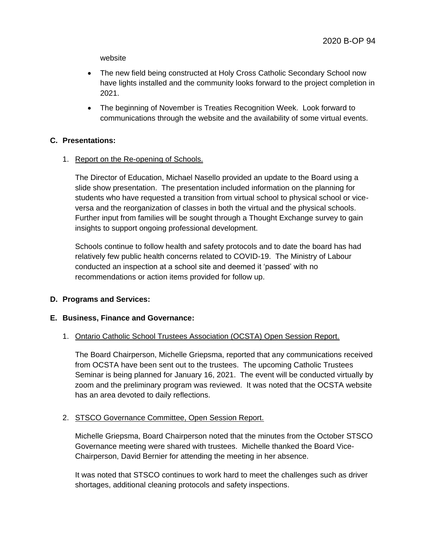website

- The new field being constructed at Holy Cross Catholic Secondary School now have lights installed and the community looks forward to the project completion in 2021.
- The beginning of November is Treaties Recognition Week. Look forward to communications through the website and the availability of some virtual events.

### **C. Presentations:**

1. Report on the Re-opening of Schools.

The Director of Education, Michael Nasello provided an update to the Board using a slide show presentation. The presentation included information on the planning for students who have requested a transition from virtual school to physical school or viceversa and the reorganization of classes in both the virtual and the physical schools. Further input from families will be sought through a Thought Exchange survey to gain insights to support ongoing professional development.

Schools continue to follow health and safety protocols and to date the board has had relatively few public health concerns related to COVID-19. The Ministry of Labour conducted an inspection at a school site and deemed it 'passed' with no recommendations or action items provided for follow up.

# **D. Programs and Services:**

### **E. Business, Finance and Governance:**

# 1. Ontario Catholic School Trustees Association (OCSTA) Open Session Report.

The Board Chairperson, Michelle Griepsma, reported that any communications received from OCSTA have been sent out to the trustees. The upcoming Catholic Trustees Seminar is being planned for January 16, 2021. The event will be conducted virtually by zoom and the preliminary program was reviewed. It was noted that the OCSTA website has an area devoted to daily reflections.

# 2. STSCO Governance Committee, Open Session Report.

Michelle Griepsma, Board Chairperson noted that the minutes from the October STSCO Governance meeting were shared with trustees. Michelle thanked the Board Vice-Chairperson, David Bernier for attending the meeting in her absence.

It was noted that STSCO continues to work hard to meet the challenges such as driver shortages, additional cleaning protocols and safety inspections.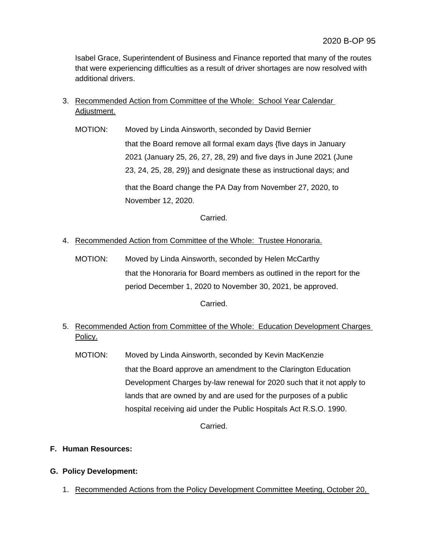Isabel Grace, Superintendent of Business and Finance reported that many of the routes that were experiencing difficulties as a result of driver shortages are now resolved with additional drivers.

- 3. Recommended Action from Committee of the Whole: School Year Calendar Adjustment.
	- MOTION: Moved by Linda Ainsworth, seconded by David Bernier that the Board remove all formal exam days {five days in January 2021 (January 25, 26, 27, 28, 29) and five days in June 2021 (June 23, 24, 25, 28, 29)} and designate these as instructional days; and that the Board change the PA Day from November 27, 2020, to November 12, 2020.

Carried.

- 4. Recommended Action from Committee of the Whole: Trustee Honoraria.
	- MOTION: Moved by Linda Ainsworth, seconded by Helen McCarthy that the Honoraria for Board members as outlined in the report for the period December 1, 2020 to November 30, 2021, be approved.

Carried.

- 5. Recommended Action from Committee of the Whole: Education Development Charges Policy.
	- MOTION: Moved by Linda Ainsworth, seconded by Kevin MacKenzie that the Board approve an amendment to the Clarington Education Development Charges by-law renewal for 2020 such that it not apply to lands that are owned by and are used for the purposes of a public hospital receiving aid under the Public Hospitals Act R.S.O. 1990.

Carried.

**F. Human Resources:** 

# **G. Policy Development:**

1. Recommended Actions from the Policy Development Committee Meeting, October 20,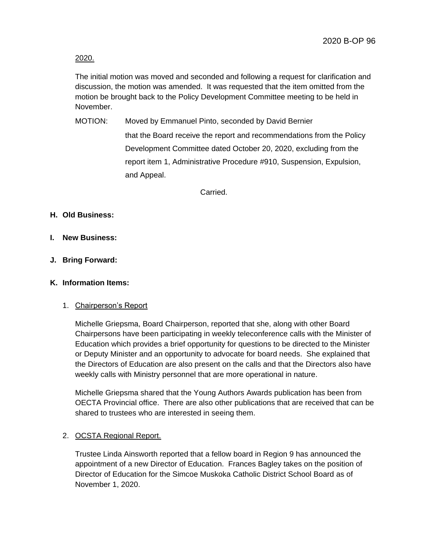2020.

The initial motion was moved and seconded and following a request for clarification and discussion, the motion was amended. It was requested that the item omitted from the motion be brought back to the Policy Development Committee meeting to be held in November.

MOTION: Moved by Emmanuel Pinto, seconded by David Bernier that the Board receive the report and recommendations from the Policy Development Committee dated October 20, 2020, excluding from the report item 1, Administrative Procedure #910, Suspension, Expulsion, and Appeal.

Carried.

### **H. Old Business:**

- **I. New Business:**
- **J. Bring Forward:**

### **K. Information Items:**

### 1. Chairperson's Report

Michelle Griepsma, Board Chairperson, reported that she, along with other Board Chairpersons have been participating in weekly teleconference calls with the Minister of Education which provides a brief opportunity for questions to be directed to the Minister or Deputy Minister and an opportunity to advocate for board needs. She explained that the Directors of Education are also present on the calls and that the Directors also have weekly calls with Ministry personnel that are more operational in nature.

Michelle Griepsma shared that the Young Authors Awards publication has been from OECTA Provincial office. There are also other publications that are received that can be shared to trustees who are interested in seeing them.

### 2. OCSTA Regional Report.

Trustee Linda Ainsworth reported that a fellow board in Region 9 has announced the appointment of a new Director of Education. Frances Bagley takes on the position of Director of Education for the Simcoe Muskoka Catholic District School Board as of November 1, 2020.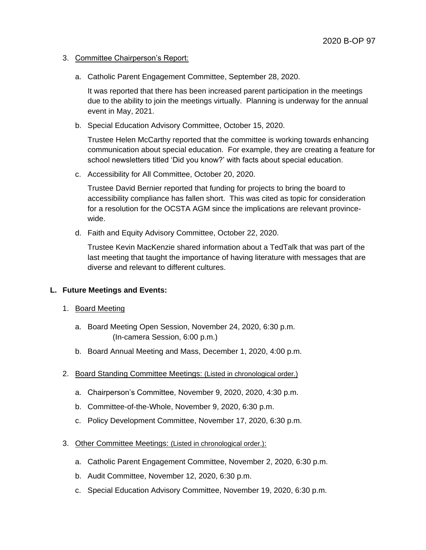- 3. Committee Chairperson's Report:
	- a. Catholic Parent Engagement Committee, September 28, 2020.

It was reported that there has been increased parent participation in the meetings due to the ability to join the meetings virtually. Planning is underway for the annual event in May, 2021.

b. Special Education Advisory Committee, October 15, 2020.

Trustee Helen McCarthy reported that the committee is working towards enhancing communication about special education. For example, they are creating a feature for school newsletters titled 'Did you know?' with facts about special education.

c. Accessibility for All Committee, October 20, 2020.

Trustee David Bernier reported that funding for projects to bring the board to accessibility compliance has fallen short. This was cited as topic for consideration for a resolution for the OCSTA AGM since the implications are relevant provincewide.

d. Faith and Equity Advisory Committee, October 22, 2020.

Trustee Kevin MacKenzie shared information about a TedTalk that was part of the last meeting that taught the importance of having literature with messages that are diverse and relevant to different cultures.

### **L. Future Meetings and Events:**

- 1. Board Meeting
	- a. Board Meeting Open Session, November 24, 2020, 6:30 p.m. (In-camera Session, 6:00 p.m.)
	- b. Board Annual Meeting and Mass, December 1, 2020, 4:00 p.m.
- 2. Board Standing Committee Meetings: (Listed in chronological order.)
	- a. Chairperson's Committee, November 9, 2020, 2020, 4:30 p.m.
	- b. Committee-of-the-Whole, November 9, 2020, 6:30 p.m.
	- c. Policy Development Committee, November 17, 2020, 6:30 p.m.
- 3. Other Committee Meetings: (Listed in chronological order.):
	- a. Catholic Parent Engagement Committee, November 2, 2020, 6:30 p.m.
	- b. Audit Committee, November 12, 2020, 6:30 p.m.
	- c. Special Education Advisory Committee, November 19, 2020, 6:30 p.m.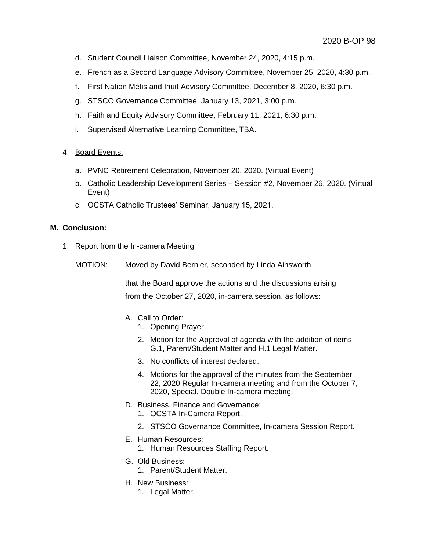- d. Student Council Liaison Committee, November 24, 2020, 4:15 p.m.
- e. French as a Second Language Advisory Committee, November 25, 2020, 4:30 p.m.
- f. First Nation Métis and Inuit Advisory Committee, December 8, 2020, 6:30 p.m.
- g. STSCO Governance Committee, January 13, 2021, 3:00 p.m.
- h. Faith and Equity Advisory Committee, February 11, 2021, 6:30 p.m.
- i. Supervised Alternative Learning Committee, TBA.

### 4. Board Events:

- a. PVNC Retirement Celebration, November 20, 2020. (Virtual Event)
- b. Catholic Leadership Development Series Session #2, November 26, 2020. (Virtual Event)
- c. OCSTA Catholic Trustees' Seminar, January 15, 2021.

### **M. Conclusion:**

- 1. Report from the In-camera Meeting
	- MOTION: Moved by David Bernier, seconded by Linda Ainsworth

that the Board approve the actions and the discussions arising from the October 27, 2020, in-camera session, as follows:

- A. Call to Order:
	- 1. Opening Prayer
	- 2. Motion for the Approval of agenda with the addition of items G.1, Parent/Student Matter and H.1 Legal Matter.
	- 3. No conflicts of interest declared.
	- 4. Motions for the approval of the minutes from the September 22, 2020 Regular In-camera meeting and from the October 7, 2020, Special, Double In-camera meeting.
- D. Business, Finance and Governance:
	- 1. OCSTA In-Camera Report.
	- 2. STSCO Governance Committee, In-camera Session Report.
- E. Human Resources:
	- 1. Human Resources Staffing Report.
- G. Old Business:
	- 1. Parent/Student Matter.
- H. New Business:
	- 1. Legal Matter.